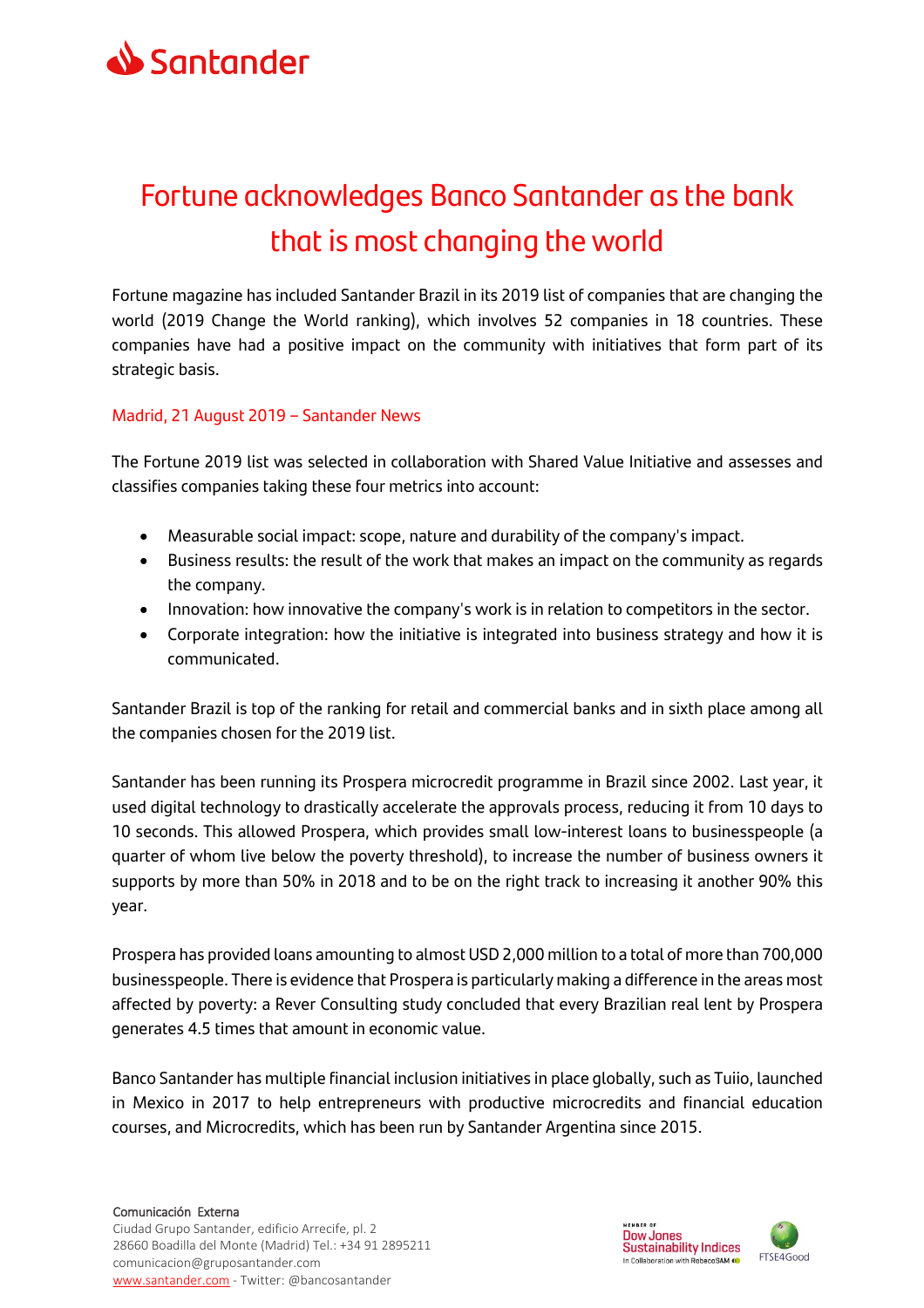

## Fortune acknowledges Banco Santander as the bank that is most changing the world

Fortune magazine has included Santander Brazil in its 2019 list of companies that are changing the world (2019 Change the World ranking), which involves 52 companies in 18 countries. These companies have had a positive impact on the community with initiatives that form part of its strategic basis.

## Madrid, 21 August 2019 – Santander News

The Fortune 2019 list was selected in collaboration with Shared Value Initiative and assesses and classifies companies taking these four metrics into account:

- Measurable social impact: scope, nature and durability of the company's impact.
- Business results: the result of the work that makes an impact on the community as regards the company.
- Innovation: how innovative the company's work is in relation to competitors in the sector.
- Corporate integration: how the initiative is integrated into business strategy and how it is communicated.

Santander Brazil is top of the ranking for retail and commercial banks and in sixth place among all the companies chosen for the 2019 list.

Santander has been running its Prospera microcredit programme in Brazil since 2002. Last year, it used digital technology to drastically accelerate the approvals process, reducing it from 10 days to 10 seconds. This allowed Prospera, which provides small low-interest loans to businesspeople (a quarter of whom live below the poverty threshold), to increase the number of business owners it supports by more than 50% in 2018 and to be on the right track to increasing it another 90% this year.

Prospera has provided loans amounting to almost USD 2,000 million to a total of more than 700,000 businesspeople. There is evidence that Prospera is particularly making a difference in the areas most affected by poverty: a Rever Consulting study concluded that every Brazilian real lent by Prospera generates 4.5 times that amount in economic value.

Banco Santander has multiple financial inclusion initiatives in place globally, such as Tuiio, launched in Mexico in 2017 to help entrepreneurs with productive microcredits and financial education courses, and Microcredits, which has been run by Santander Argentina since 2015.

## Comunicación Externa